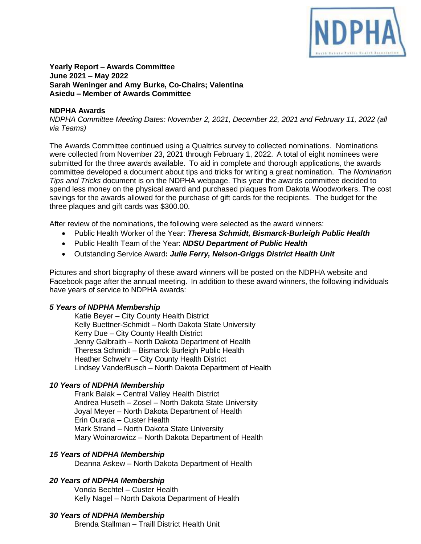

#### **Yearly Report – Awards Committee June 2021 – May 2022 Sarah Weninger and Amy Burke, Co-Chairs; Valentina Asiedu – Member of Awards Committee**

# **NDPHA Awards**

*NDPHA Committee Meeting Dates: November 2, 2021, December 22, 2021 and February 11, 2022 (all via Teams)*

The Awards Committee continued using a Qualtrics survey to collected nominations. Nominations were collected from November 23, 2021 through February 1, 2022. A total of eight nominees were submitted for the three awards available. To aid in complete and thorough applications, the awards committee developed a document about tips and tricks for writing a great nomination. The *Nomination Tips and Tricks* document is on the NDPHA webpage. This year the awards committee decided to spend less money on the physical award and purchased plaques from Dakota Woodworkers. The cost savings for the awards allowed for the purchase of gift cards for the recipients. The budget for the three plaques and gift cards was \$300.00.

After review of the nominations, the following were selected as the award winners:

- Public Health Worker of the Year: *Theresa Schmidt, Bismarck-Burleigh Public Health*
- Public Health Team of the Year: *NDSU Department of Public Health*
- Outstanding Service Award**:** *Julie Ferry, Nelson-Griggs District Health Unit*

Pictures and short biography of these award winners will be posted on the NDPHA website and Facebook page after the annual meeting. In addition to these award winners, the following individuals have years of service to NDPHA awards:

# *5 Years of NDPHA Membership*

Katie Beyer – City County Health District Kelly Buettner-Schmidt – North Dakota State University Kerry Due – City County Health District Jenny Galbraith – North Dakota Department of Health Theresa Schmidt – Bismarck Burleigh Public Health Heather Schwehr – City County Health District Lindsey VanderBusch – North Dakota Department of Health

# *10 Years of NDPHA Membership*

Frank Balak – Central Valley Health District Andrea Huseth – Zosel – North Dakota State University Joyal Meyer – North Dakota Department of Health Erin Ourada – Custer Health Mark Strand – North Dakota State University Mary Woinarowicz – North Dakota Department of Health

# *15 Years of NDPHA Membership*

Deanna Askew – North Dakota Department of Health

# *20 Years of NDPHA Membership*

Vonda Bechtel – Custer Health Kelly Nagel – North Dakota Department of Health

# *30 Years of NDPHA Membership*

Brenda Stallman – Traill District Health Unit